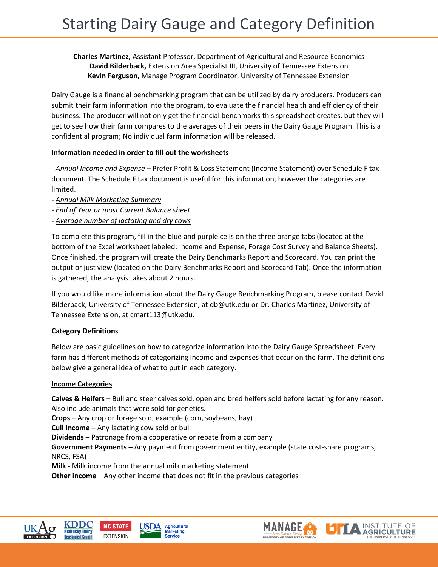### **Charles Martinez,** Assistant Professor, Department of Agricultural and Resource Economics **David Bilderback,** Extension Area Specialist III, University of Tennessee Extension **Kevin Ferguson,** Manage Program Coordinator, University of Tennessee Extension

Dairy Gauge is a financial benchmarking program that can be utilized by dairy producers. Producers can submit their farm information into the program, to evaluate the financial health and efficiency of their business. The producer will not only get the financial benchmarks this spreadsheet creates, but they will get to see how their farm compares to the averages of their peers in the Dairy Gauge Program. This is a confidential program; No individual farm information will be released.

#### **Information needed in order to fill out the worksheets**

- *Annual Income and Expense* – Prefer Profit & Loss Statement (Income Statement) over Schedule F tax document. The Schedule F tax document is useful for this information, however the categories are limited.

- *Annual Milk Marketing Summary*
- *End of Year or most Current Balance sheet*
- *- Average number of lactating and dry cows*

To complete this program, fill in the blue and purple cells on the three orange tabs (located at the bottom of the Excel worksheet labeled: Income and Expense, Forage Cost Survey and Balance Sheets). Once finished, the program will create the Dairy Benchmarks Report and Scorecard. You can print the output or just view (located on the Dairy Benchmarks Report and Scorecard Tab). Once the information is gathered, the analysis takes about 2 hours.

If you would like more information about the Dairy Gauge Benchmarking Program, please contact David Bilderback, University of Tennessee Extension, at db@utk.edu or Dr. Charles Martinez, University of Tennessee Extension, at cmart113@utk.edu.

# **Category Definitions**

Below are basic guidelines on how to categorize information into the Dairy Gauge Spreadsheet. Every farm has different methods of categorizing income and expenses that occur on the farm. The definitions below give a general idea of what to put in each category.

#### **Income Categories**

**Calves & Heifers** – Bull and steer calves sold, open and bred heifers sold before lactating for any reason. Also include animals that were sold for genetics.

**Crops –** Any crop or forage sold, example (corn, soybeans, hay)

**Cull Income –** Any lactating cow sold or bull

**Dividends** – Patronage from a cooperative or rebate from a company

**Government Payments –** Any payment from government entity, example (state cost-share programs, NRCS, FSA)

**Milk -** Milk income from the annual milk marketing statement

**Other income** – Any other income that does not fit in the previous categories